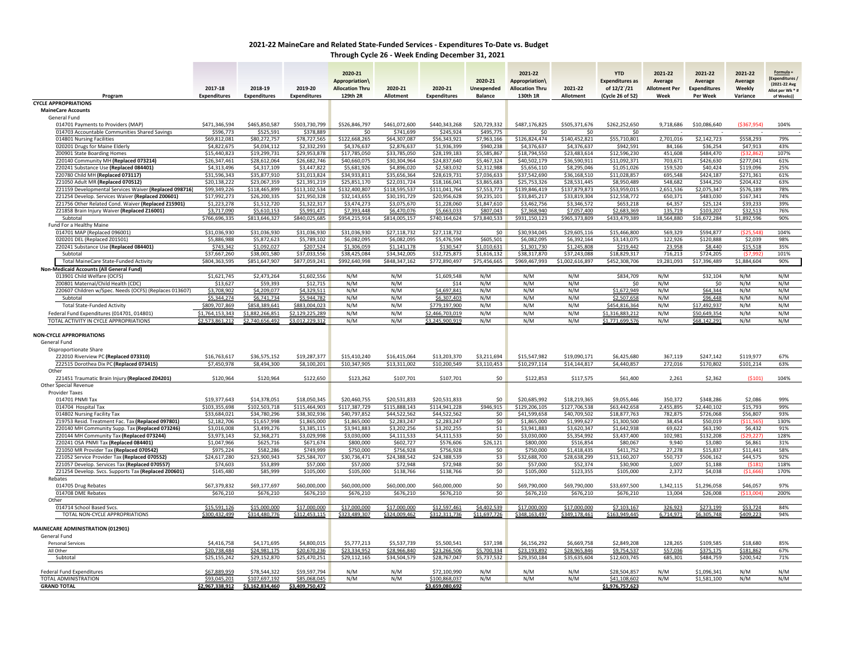## **2021‐22 MaineCare and Related State‐Funded Services ‐ Expenditures To‐Date vs. Budget Through Cycle 26 ‐ Week Ending December 31, 2021**

|                                                                                                             | 2017-18                       | 2018-19                       | 2019-20                       | 2020-21<br><b>Appropriation\</b><br><b>Allocation Thru</b> | 2020-21                       | 2020-21                       | 2020-21<br><b>Unexpended</b> | 2021-22<br>Appropriation\<br><b>Allocation Thru</b> | 2021-22                       | <b>YTD</b><br><b>Expenditures as</b><br>of 12/2`/21 | 2021-22<br>Average<br><b>Allotment Per</b> | 2021-22<br>Average<br><b>Expenditures</b> | 2021-22<br>Average<br>Weekly | Formula =<br>[Expenditures]<br>(2021-22 Avg<br>Allot per Wk * |
|-------------------------------------------------------------------------------------------------------------|-------------------------------|-------------------------------|-------------------------------|------------------------------------------------------------|-------------------------------|-------------------------------|------------------------------|-----------------------------------------------------|-------------------------------|-----------------------------------------------------|--------------------------------------------|-------------------------------------------|------------------------------|---------------------------------------------------------------|
| Program                                                                                                     | <b>Expenditures</b>           | <b>Expenditures</b>           | <b>Expenditures</b>           | 129th 2R                                                   | Allotment                     | <b>Expenditures</b>           | <b>Balance</b>               | 130th 1R                                            | Allotment                     | (Cycle 26 of 52)                                    | Week                                       | Per Week                                  | Variance                     | of Weeks)]                                                    |
| <b>CYCLE APPROPRIATIONS</b><br><b>MaineCare Accounts</b>                                                    |                               |                               |                               |                                                            |                               |                               |                              |                                                     |                               |                                                     |                                            |                                           |                              |                                                               |
| General Fund                                                                                                |                               |                               |                               |                                                            |                               |                               |                              |                                                     |                               |                                                     |                                            |                                           |                              |                                                               |
| 014701 Payments to Providers (MAP)                                                                          | \$471,346,594                 | \$465,850,587                 | \$503,730,799                 | \$526,846,797                                              | \$461,072,600                 | \$440,343,268                 | \$20,729,332                 | \$487,176,825                                       | \$505,371,676                 | \$262,252,650                                       | 9,718,686                                  | \$10,086,640                              | ( \$367, 954)                | 104%                                                          |
| 014703 Accountable Communities Shared Savings                                                               | \$596,773                     | \$525,591                     | \$378,889                     | \$0                                                        | \$741,699                     | \$245,924                     | \$495,775                    | \$0                                                 | \$0                           | \$0                                                 |                                            |                                           |                              |                                                               |
| 014801 Nursing Facilities                                                                                   | \$69,812,081                  | \$80,272,757                  | \$78,727,565                  | \$122,668,265<br>\$4,376,637                               | \$64,307,087                  | \$56,343,921                  | \$7,963,166                  | \$126,824,474                                       | \$140,452,821                 | \$55,710,801                                        | 2,701,016                                  | \$2,142,723                               | \$558,293                    | 79%                                                           |
| 020201 Drugs for Maine Elderly<br>Z00901 State Boarding Homes                                               | \$4,822,675<br>\$15,440,823   | \$4,034,112<br>\$19,299,731   | \$2,332,293<br>\$29,953,878   | \$17,785,050                                               | \$2,876,637<br>\$33,785,050   | \$1,936,399<br>\$28,199,183   | \$940,238<br>\$5,585,867     | \$4,376,637<br>\$18,794,550                         | \$4,376,637<br>\$23,483,614   | \$942,591<br>\$12,596,230                           | 84,166<br>451,608                          | \$36,254<br>\$484,470                     | \$47,913<br>( \$32, 862]     | 43%<br>107%                                                   |
| Z20140 Community MH (Replaced 073214)                                                                       | \$26.347.461                  | \$28.612.064                  | \$26,682,746                  | \$40,660,075                                               | \$30,304,964                  | \$24,837,640                  | \$5,467.324                  | \$40,502,179                                        | \$36.590.911                  | \$11.092.371                                        | 703.671                                    | \$426.630                                 | \$277.041                    | 61%                                                           |
| Z20241 Substance Use (Replaced 084401)                                                                      | \$4,313,496                   | \$4,317,109                   | \$3,447,822                   | \$5,681,926                                                | \$4,896,020                   | \$2,583,032                   | \$2,312,988                  | \$5,656,110                                         | \$8,295,046                   | \$1,051,026                                         | 159,520                                    | \$40,424                                  | \$119,096                    | 25%                                                           |
| Z20780 Child MH (Replaced 073117)                                                                           | \$31,596,343                  | \$35,877,910                  | \$31,013,824                  | \$34,933,811                                               | \$35,656,364                  | \$28,619,731                  | \$7,036,633                  | \$37,542,690                                        | \$36,168,510                  | \$11,028,857                                        | 695,548                                    | \$424,187                                 | \$271,361                    | 61%                                                           |
| Z21050 Adult MR (Replaced 070512)                                                                           | \$20,138,222<br>\$99,349,226  | \$23,067,359<br>\$118,465,899 | \$21,391,219<br>\$113,102,534 | $\overline{$}25,851,170$<br>\$132,400,807                  | \$22,031,724<br>\$118,595,537 | \$18,166,041<br>\$111,041,764 | \$3,865,683<br>\$7,553,773   | \$25,753,326<br>\$139,846,419                       | \$28,531,445<br>\$137,879,873 | \$8,950,489<br>\$53,959,015                         | 548,682<br>2,651,536                       | \$344,250<br>\$2,075,347                  | \$204,432<br>\$576,189       | 63%<br>78%                                                    |
| Z21159 Developmental Services Waiver (Replaced 098716)<br>Z21254 Develop. Services Waiver (Replaced Z00601) | \$17,992,273                  | \$26,200,335                  | \$21,950,328                  | \$32,143,655                                               | \$30,191,729                  | \$20,956,628                  | \$9,235,101                  | \$33,845,217                                        | \$33,819,304                  | \$12,558,772                                        | 650,371                                    | \$483,030                                 | \$167,341                    | 74%                                                           |
| Z21756 Other Related Cond. Waiver (Replaced Z15901)                                                         | \$1,223,278                   | \$1,512,720                   | \$1,322,317                   | \$3,474,273                                                | \$3,075,670                   | \$1,228,060                   | \$1,847,610                  | \$3,462,756                                         | \$3,346,572                   | \$653,218                                           | 64,357                                     | \$25,124                                  | \$39,233                     | 39%                                                           |
| Z21858 Brain Injury Waiver (Replaced Z16001)                                                                | \$3,717,090                   | \$5,610,153                   | \$5,991,471                   | \$7,393,448                                                | \$6,470,076                   | \$5,663,033                   | \$807,043                    | \$7,368,940                                         | \$7,057,400                   | \$2,683,369                                         | 135,719                                    | \$103,207                                 | \$32,513                     | 76%                                                           |
| Subtotal                                                                                                    | \$766,696,335                 | \$813,646,327                 | \$840,025,685                 | \$954,215,914                                              | \$814,005,157                 | \$740,164,624                 | \$73,840,533                 | \$931,150,123                                       | \$965,373,809                 | \$433,479,389                                       | 18,564,880                                 | \$16,672,284                              | \$1,892,596                  | 90%                                                           |
| Fund For a Healthy Maine                                                                                    |                               |                               |                               |                                                            | \$27,118,732                  | \$27,118,732                  |                              |                                                     |                               |                                                     |                                            | \$594,877                                 | ( \$25, 548]                 | 104%                                                          |
| 014701 MAP (Replaced 096001)<br>020201 DEL (Replaced Z01501)                                                | \$31,036,930<br>\$5,886,988   | \$31,036,930<br>\$5,872,623   | \$31,036,930<br>\$5,789,102   | \$31,036,930<br>\$6,082,095                                | \$6,082,095                   | \$5,476,594                   | \$0<br>\$605,501             | \$30,934,045<br>\$6,082,095                         | \$29,605,116<br>\$6,392,164   | \$15,466,800<br>\$3,143,075                         | 569,329<br>122,926                         | \$120,888                                 | \$2,039                      | 98%                                                           |
| Z20241 Substance Use (Replaced 084401)                                                                      | \$743,342                     | \$1,092,027                   | \$207,524                     | \$1,306,059                                                | \$1,141,178                   | \$130,547                     | \$1,010,631                  | \$1,301,730                                         | \$1,245,808                   | \$219,442                                           | 23,958                                     | \$8,440                                   | \$15,518                     | 35%                                                           |
| Subtotal                                                                                                    | \$37,667,260                  | \$38,001,580                  | \$37,033,556                  | \$38,425,084                                               | \$34,342,005                  | \$32,725,873                  | \$1,616,132                  | \$38,317,870                                        | \$37,243,088                  | \$18,829,317                                        | 716,213                                    | \$724,205                                 | (\$7.992                     | 101%                                                          |
| <b>Total MaineCare State-Funded Activity</b>                                                                | \$804,363,595                 | \$851,647,907                 | \$877,059,241                 | \$992,640.998                                              | \$848,347,162                 | \$772,890,497                 | \$75,456,665                 | \$969,467,993                                       | \$1.002.616.897               | \$452,308,706                                       | 19,281,093                                 | \$17,396,489                              | \$1,884,604                  | 90%                                                           |
| Non-Medicaid Accounts (All General Fund)                                                                    |                               |                               |                               |                                                            |                               |                               |                              |                                                     |                               |                                                     |                                            |                                           |                              |                                                               |
| 013901 Child Welfare (OCFS)                                                                                 | \$1,621,745                   | \$2,473,264                   | \$1,602,556                   | N/M                                                        | N/M                           | \$1,609,548                   | N/M                          | N/M                                                 | N/M                           | \$834,709                                           | N/M                                        | \$32,104                                  | N/M                          | N/M                                                           |
| Z00801 Maternal/Child Health (CDC)<br>Z20607 Children w/Spec. Needs (OCFS) (Replaces 013607)                | \$13,627<br>\$3,708,902       | \$59,393<br>\$4,209,077       | \$12,715<br>\$4,329,511       | N/M<br>N/M                                                 | N/M<br>N/M                    | \$14<br>\$4,697,841           | N/M<br>N/M                   | N/M<br>N/M                                          | N/M<br>N/M                    | \$0<br>\$1,672,949                                  | N/M<br>N/M                                 | \$0<br>\$64,344                           | N/M<br>N/M                   | N/M<br>N/M                                                    |
| Subtotal                                                                                                    | \$5,344,274                   | \$6,741,734                   | \$5,944,782                   | N/M                                                        | N/M                           | \$6,307,403                   | N/M                          | N/M                                                 | N/M                           | \$2,507,658                                         | N/M                                        | \$96,448                                  | N/M                          | N/M                                                           |
| <b>Total State-Funded Activity</b>                                                                          | \$809,707,869                 | \$858,389,641                 | \$883,004,023                 | N/M                                                        | N/M                           | \$779,197,900                 | N/M                          | N/M                                                 | N/M                           | \$454,816,364                                       | N/M                                        | \$17,492,937                              | N/M                          | N/M                                                           |
| Federal Fund Expenditures (014701, 014801)                                                                  | \$1,764,153,343               | \$1,882,266,851               | \$2,129,225,289               | N/M                                                        | N/M                           | \$2,466,703,019               | N/M                          | N/M                                                 | N/M                           | \$1,316,883,212                                     | N/M                                        | \$50,649,354                              | N/M                          | N/M                                                           |
| TOTAL ACTIVITY IN CYCLE APPROPRIATIONS                                                                      | \$2,573,861,212               | \$2,740,656,492               | \$3,012,229,312               | N/M                                                        | N/M                           | \$3,245,900,919               | N/M                          | N/M                                                 | N/M                           | \$1,771,699,576                                     | N/M                                        | \$68,142,29:                              | N/M                          | N/M                                                           |
| <b>NON-CYCLE APPROPRIATIONS</b><br>General Fund<br>Disproportionate Share                                   |                               |                               |                               |                                                            |                               |                               |                              |                                                     |                               |                                                     |                                            |                                           |                              |                                                               |
| Z22010 Riverview PC (Replaced 073310)                                                                       | \$16,763,617                  | \$36,575,152                  | \$19,287,377                  | \$15,410,240                                               | \$16,415,064                  | \$13,203,370                  | \$3,211,694                  | \$15,547,982                                        | \$19,090,171                  | \$6,425,680                                         | 367,119                                    | \$247,142                                 | \$119,977                    | 67%                                                           |
| Z22515 Dorothea Dix PC (Replaced 073415)<br>Other                                                           | \$7,450.978                   | \$8,494,300                   | \$8,100,201                   | \$10,347,905                                               | \$13,311,002                  | \$10,200,549                  | \$3,110,453                  | \$10,297,114                                        | \$14,144,817                  | \$4,440,857                                         | 272.016                                    | \$170,802                                 | \$101.214                    | 63%                                                           |
| Z21451 Traumatic Brain Injury (Replaced Z04201)                                                             | \$120,964                     | \$120,964                     | \$122,650                     | \$123,262                                                  | \$107,701                     | \$107,701                     | \$0                          | \$122,853                                           | \$117,575                     | \$61,400                                            | 2,261                                      | \$2,362                                   | (5101)                       | 104%                                                          |
| Other Special Revenue<br><b>Provider Taxes</b>                                                              |                               |                               |                               |                                                            |                               |                               |                              |                                                     |                               |                                                     |                                            |                                           |                              |                                                               |
| 014701 PNMI Tax<br>014704 Hospital Tax                                                                      | \$19,377,643<br>\$103,355,698 | \$14,378,051<br>\$102,503,718 | \$18,050,345<br>\$115,464,903 | \$20,460,755<br>\$117,387,729                              | \$20,531,833<br>\$115,888,143 | \$20,531,833<br>\$114,941,228 | \$0<br>\$946,915             | \$20,685,992<br>\$129,206,105                       | \$18,219,365<br>\$127,706,538 | \$9,055,446<br>\$63,442,658                         | 350,372<br>2,455,895                       | \$348,286<br>\$2,440,102                  | \$2,086<br>\$15,793          | 99%<br>99%                                                    |
| 014802 Nursing Facility Tax                                                                                 | \$33,684,021                  | \$34,780,296                  | \$38,302,936                  | \$40,797,852                                               | \$44,522,562                  | \$44,522,562                  | \$0                          | \$41,599,658                                        | \$40,709,502                  | \$18,877,763                                        | 782,875                                    | \$726,068                                 | \$56,807                     | 93%                                                           |
| Z19753 Resid. Treatment Fac. Tax (Replaced 097801)                                                          | \$2,182,706                   | \$1,657,998                   | \$1,865,000                   | \$1,865,000                                                | \$2,283,247                   | \$2,283,247                   | \$0                          | \$1,865,000                                         | \$1,999,627                   | \$1,300,500                                         | 38,454                                     | \$50,019                                  | ( \$11, 565                  | 130%                                                          |
| Z20140 MH Community Supp. Tax (Replaced 073246)                                                             | \$3,016,008                   | \$3,499,276                   | \$3,385,115                   | \$3,941,883                                                | \$3,202,256                   | \$3,202,255                   | \$1                          | \$3,941,883                                         | \$3,620,347                   | \$1,642,938                                         | 69,622                                     | \$63,190                                  | \$6,432                      | 91%                                                           |
| Z20144 MH Community Tax (Replaced 073244)                                                                   | \$3,973,143                   | \$2,368,271                   | \$3,029,998                   | \$3,030,000                                                | \$4,111,533                   | \$4,111,533                   | \$0                          | \$3,030,000                                         | \$5,354,992                   | \$3,437,400                                         | 102,981                                    | \$132,208                                 | \$29.227                     | 128%                                                          |
| Z20241 OSA PNMI Tax (Replaced 084401)<br>Z21050 MR Provider Tax (Replaced 070542)                           | \$1,047,966<br>\$975,224      | \$625,716<br>\$582,286        | \$671,674<br>\$749,999        | \$800,000<br>\$750,000                                     | \$602,727<br>\$756,928        | \$576,606<br>\$756,928        | \$26,121<br>\$0              | \$800,000<br>\$750,000                              | \$516,854<br>\$1,418,435      | \$80,067<br>\$411,752                               | 9,940<br>27,278                            | \$3,080<br>\$15,837                       | \$6,861<br>\$11,441          | 31%<br>58%                                                    |
| Z21052 Service Provider Tax (Replaced 070552)                                                               | \$24,617,280                  | \$23,900,943                  | \$25,584,707                  | \$30,736,471                                               | \$24,388,542                  | \$24,388,539                  | \$3                          | \$32,688,700                                        | \$28,638,299                  | \$13,160,207                                        | 550,737                                    | \$506,162                                 | \$44,575                     | 92%                                                           |
| Z21057 Develop. Services Tax (Replaced 070557)                                                              | \$74,603                      | \$53,899                      | \$57,000                      | \$57,000                                                   | \$72,948                      | \$72,948                      | \$0                          | \$57,000                                            | \$52,374                      | \$30,900                                            | 1,007                                      | \$1,188                                   | (5181                        | 118%                                                          |
| Z21254 Develop. Svcs. Supports Tax (Replaced Z00601)                                                        | \$145,480                     | \$85,999                      | \$105,000                     | \$105,000                                                  | \$138,766                     | \$138,766                     | \$0                          | \$105,000                                           | \$123,355                     | \$105,000                                           | 2,372                                      | \$4,038                                   | (\$1,666]                    | 170%                                                          |
| Rebates                                                                                                     |                               |                               |                               |                                                            |                               |                               |                              |                                                     |                               |                                                     |                                            |                                           |                              |                                                               |
| 014705 Drug Rebates                                                                                         | \$67,379,832                  | \$69,177,697                  | \$60,000,000                  | \$60,000,000                                               | \$60,000,000                  | \$60,000,000                  | \$0                          | \$69,790,000                                        | \$69,790,000                  | \$33,697,500                                        | 1,342,115                                  | \$1,296,058                               | \$46,057                     | 97%                                                           |
| 014708 DME Rebates<br>Other                                                                                 | \$676,210                     | \$676,210                     | \$676,210                     | \$676,210                                                  | \$676,210                     | \$676,210                     | \$0                          | \$676,210                                           | \$676,210                     | \$676,210                                           | 13,004                                     | \$26,008                                  | (\$13,004]                   | 200%                                                          |
| 014714 School Based Svcs.                                                                                   | \$15,591,126                  | \$15,000,000                  | \$17,000,000                  | \$17,000,000                                               | \$17,000,000                  | \$12,597,461                  | \$4,402,539                  | \$17,000,000                                        | \$17,000,000                  | \$7,103,167                                         | 326,923                                    | \$273,199                                 | \$53,724                     | 84%                                                           |
| TOTAL NON-CYCLE APPROPRIATIONS                                                                              | \$300,432,499                 | \$314,480,776                 | \$312,453,115                 | \$323,489,307                                              | \$324,009,462                 | \$312,311,736                 | \$11,697,726                 | \$348,163,497                                       | \$349,178,461                 | \$163,949,445                                       | 6,714,971                                  | \$6,305,748                               | \$409,223                    | 94%                                                           |
| <b>MAINECARE ADMINISTRATION (012901)</b><br>General Fund                                                    |                               |                               |                               |                                                            |                               |                               |                              |                                                     |                               |                                                     |                                            |                                           |                              |                                                               |
| <b>Personal Services</b>                                                                                    | \$4,416,758                   | \$4,171,695                   | \$4,800,015                   | \$5,777,213                                                | \$5,537,739                   | \$5,500,541                   | \$37,198                     | \$6,156,292                                         | \$6,669,758                   | \$2,849,208                                         | 128,265                                    | \$109,585                                 | \$18,680                     | 85%                                                           |
| All Other                                                                                                   | \$20,738,484                  | \$24,981,175                  | \$20,670,236                  | \$23,334,952                                               | \$28,966,840                  | \$23,266,506                  | \$5,700,334                  | \$23,193,892                                        | \$28,965,846                  | \$9,754,537                                         | 557,036                                    | \$375,175                                 | \$181,862                    | 67%                                                           |
| Subtota                                                                                                     | \$25,155,242                  | \$29,152,870                  | \$25,470,251                  | \$29,112,165                                               | \$34,504,579                  | \$28,767,047                  | \$5,737,532                  | \$29,350,184                                        | \$35,635,604                  | \$12,603,745                                        | 685,301                                    | \$484,759                                 | \$200,542                    | 71%                                                           |
| <b>Federal Fund Expenditures</b>                                                                            | \$67,889,959                  | \$78,544,322                  | \$59,597,794                  | N/M                                                        | N/M                           | \$72,100,990                  | N/M                          | N/M                                                 | N/M                           | \$28,504,857                                        | N/M                                        | \$1,096,341                               | N/M                          | N/M                                                           |
| TOTAL ADMINISTRATION                                                                                        | \$93,045,201                  | \$107,697,192                 | \$85,068,045                  | N/M                                                        | N/M                           | \$100,868,037                 | N/M                          | N/M                                                 | N/M                           | \$41,108,602                                        | N/M                                        | \$1,581,100                               | N/M                          | N/M                                                           |
| <b>GRAND TOTAL</b>                                                                                          | \$2,967,338,912               | \$3,162,834,460               | \$3,409,750,472               |                                                            |                               | \$3,659,080,692               |                              |                                                     |                               | \$1,976,757,623                                     |                                            |                                           |                              |                                                               |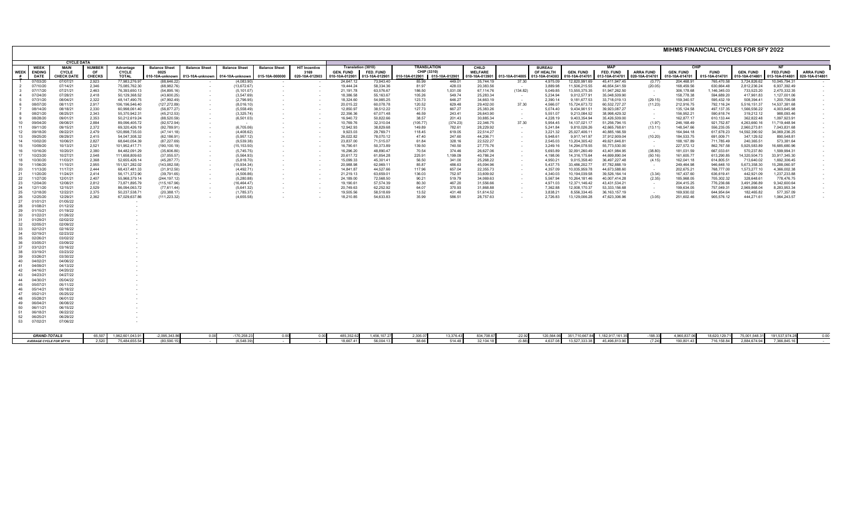|             | MIHMS FINANCIAL CYCLES FOR SFY 2022 |                      |                     |                                 |                              |                      |                                 |                      |                                              |                        |                                 |                                   |                    |                         |                    |                            |                                 |                                |                   |                          |                            |                            |                               |                  |
|-------------|-------------------------------------|----------------------|---------------------|---------------------------------|------------------------------|----------------------|---------------------------------|----------------------|----------------------------------------------|------------------------|---------------------------------|-----------------------------------|--------------------|-------------------------|--------------------|----------------------------|---------------------------------|--------------------------------|-------------------|--------------------------|----------------------------|----------------------------|-------------------------------|------------------|
|             |                                     | <b>CYCLE DATA</b>    |                     |                                 |                              |                      |                                 |                      |                                              |                        |                                 |                                   |                    |                         |                    |                            |                                 |                                |                   |                          |                            |                            |                               |                  |
| <b>WEEK</b> | <b>WEEK</b><br><b>ENDING</b>        | <b>MAIN</b><br>CYCLE | <b>NUMBER</b><br>OF | Advantage<br>CYCLE              | <b>Balance Sheet</b><br>0025 | <b>Balance Sheet</b> | <b>Balance Sheet</b>            | <b>Balance Sheet</b> | <b>HIT Incentive</b><br>3169                 | <b>GEN. FUND</b>       | Translation (3010)<br>FED. FUND | <b>TRANSLATION</b><br>CHIP (3310) |                    | CHILD<br><b>WELFARE</b> |                    | <b>BUREAU</b><br>OF HEALTH | <b>GEN. FUND</b>                | <b>MAP</b><br>FED. FUND        | <b>ARRA FUND</b>  | <b>GEN. FUND</b>         | <b>FUND</b>                | <b>GEN. FUND</b>           | <b>FED.FUND</b>               | <b>ARRA FUND</b> |
|             | DATE                                | <b>CHECK DATE</b>    | <b>CHECKS</b>       | <b>TOTAL</b>                    | 010-10A-unknown              |                      | 013-10A-unknown 014-10A-unknown | 015-10A-000000       | 020-10A-012903 010-10A-012901 013-10A-012901 |                        |                                 | 010-10A-012901 015-10A-012901     |                    | 010-10A-013901          | 013-10A-014005     | 013-10A-014303             | 010-10A-014701                  | 013-10A-014701 020-10A-014701  |                   | 010-10A-014701           | 015-10A-014701             | 010-10A-014801             | 013-10A-014801                | 020-10A-014801   |
|             | 07/03/20                            | 07/07/21             | 2,923               | 77,983,276.97                   | (88, 646.22)                 |                      | (4,083.90)                      |                      | $\sim$                                       | 24.647.12              | 73,943.40                       | 85.99                             | 449.01             | 35,744.19               | 37.30              | 4,975.09                   | 12.820.991.69                   | 45.411.947.45                  | (0.77)            | 204,468.91               | 765.470.58                 | 3,724,826.62               | 10.045.794.31                 |                  |
|             | 07/10/20                            | 07/14/21             | 2,346               | 75,085,762.30                   | (68,982.76)                  |                      | (13,672.67)                     |                      |                                              | 19,444.24              | 58,334.36                       | 81.97                             | 428.03             | 20,383.56               |                    | 3,889.98                   | 11,506,215.55                   | 46,654,541.59                  | (20.05)           | 168,459.56               | 630,664.48                 | 2,812,236.24               | 6,937,392.49                  |                  |
|             | 07/17/20<br>07/24/20                | 07/21/21<br>07/28/21 | 2,463<br>2.418      | 76,393,650.13<br>50.129.368.52  | (54,895.16)<br>(43,600.25)   | $\sim$               | (5, 101.07)<br>(3.547.69)       | $\sim$               |                                              | 21,191.78<br>18.386.58 | 63,576.67<br>55.163.67          | 186.50<br>105.26                  | 1,031.00<br>549.74 | 67.114.76<br>25.283.34  | (134.82)<br>$\sim$ | 5,049.85<br>5.234.94       | 13,555,375.35<br>9,012,577.91   | 51,947,262.50<br>35.048.509.90 | $\sim$<br>$\sim$  | 306,178.68<br>158,778.38 | 1,146,345.03<br>594.689.20 | 733,523.20<br>417.961.83   | 2,470,332.35<br>1.127.001.06  |                  |
|             | 07/31/20                            | 08/04/21             | 2,322               | 48, 147, 490. 75                | (47,992.49)                  |                      | (2,796.95)                      |                      |                                              | 18,324.60              | 54,985.25                       | 123.73                            | 646.27             | 34,663.19               | $\sim$             | 2,390.14                   | 9,181,677.53                    | 33,718,019.13                  | (29.15)           | 159,340.57               | 595,432.19                 | 508,394.41                 | 1,200,706.08                  |                  |
| 6           | 08/07/20                            | 08/11/21             | 2,917               | 106,196,546.40                  | (127, 272.89)                |                      | (8,016.10)                      |                      | $\sim$                                       | 20,015.22              | 60,078.78                       | 120.52                            | 629.48             | 29,402.00               | 37.30              | 4,566.07                   | 15,724,673.72                   | 60,532,727.27                  | (11.23)           | 212,916.75               | 792,116.24                 | 5,516,151.37               | 14,537,381.68                 |                  |
|             | 08/14/20                            | 08/18/21             | 2,330               | 60,998,061.40                   | (56, 877.27)                 |                      | (5,558.49)                      |                      | $\sim$                                       | 12,850.97              | 38,512.22                       | 127.73                            | 667.27             | 25,383.26               | $\sim$             | 5,074.40                   | 9,434,901.51                    | 39,923,087.27                  | $\sim$            | 135,124.58               | 497,137.35                 | 1,566,556.22               | 4,003,645.98                  |                  |
|             | 08/21/20                            | 08/25/21             | 2,343               | 55,370,942.31                   | (45, 212.53)                 |                      | (3,325.74)                      |                      |                                              | 22,356.36              | 67,071.48                       | 46.59                             | 243.41             | 26,643.90               | $\sim$             | 5,551.07                   | 9,213,084.52                    | 38,998,429.32                  | $\sim$            | 156,952.21               | 590,618.74                 | 319,212.12                 | 988,093.46                    |                  |
| 9<br>10     | 08/28/20<br>09/04/20                | 09/01/21<br>09/08/21 | 2,353<br>2.884      | 50.212.619.24<br>89.096.405.72  | (88.520.59)<br>(92, 572.94)  | $\sim$               | (6,501.03)                      |                      |                                              | 16.940.72<br>10,769.76 | 50,822.66<br>32,310.04          | 38.57<br>(105.77)                 | 201.43<br>(374.23) | 30.885.34<br>22,346.75  | $\sim$<br>37.30    | 4,228.19<br>5,954.45       | 9.403.354.94<br>14, 137, 021.17 | 35.426.509.00<br>51,256,794.15 | $\sim$<br>(1.97)  | 162.877.17<br>246,168.49 | 610.133.44<br>921,752.87   | 362.822.48<br>4,263,660.16 | 1.097.923.91<br>11,719,448.94 |                  |
| 11          | 09/11/20                            | 09/15/21             | 2,372               | 69,320,426.19                   | (92,789.91)                  |                      | (6,705.06)                      |                      |                                              | 12,942.93              | 38,829.68                       | 149.89                            | 782.61             | 28,229.92               | $\sim$             | 5,241.84                   | 9,810,026.26                    | 42,665,768.61                  | (13.11)           | 148,547.66               | 556,235.05                 | 2,960,273.81               | 7,043,831.68                  |                  |
| 12          | 09/18/20                            | 09/22/21             | 2,479               | 120,898,735.03                  | (47.141.18)                  |                      | (4,408.62)                      |                      | $\sim$                                       | 9,923.03               | 29,769.71                       | 118.45                            | 619.05             | 22,514.27               | $\sim$             | 3,221.32                   | 25,027,406.11                   | 40.885.166.59                  | $\sim$ 100 $\mu$  | 164,944.18               | 617.678.23                 | 14,592,390.92              | 34,069,236.25                 |                  |
| 13          | 09/25/20                            | 09/29/21             | 2,415               | 54,047,308.32                   | (62, 186.91)                 | $\sim$               | (5,957.12)                      |                      | $\sim$                                       | 26,022.82              | 78,070.12                       | 47.40                             | 247.60             | 44,206.71               | $\sim$             | 5.948.61                   | 9.917.141.97                    | 37,912,909.04                  | (10.20)           | 184,533.75               | 691,009.71                 | 347,129.52                 | 890,548.81                    |                  |
| 14          | 10/02/20                            | 10/06/21             | 2,827               | 68,640,054.39                   | (87, 227.69)                 |                      | (9,539.38)                      |                      | $\sim$                                       | 23,837.00              | 71,515.07                       | 61.84                             | 328.16             | 22,522.27               | $\sim$             | 2,545.03                   | 13,204,305.42                   | 49,621,646.81                  | $\sim$            | 188,167.89               | 711,785.49                 | 240,365.51                 | 573,381.64                    |                  |
| 15<br>16    | 10/09/20<br>10/16/20                | 10/13/21<br>10/20/21 | 2,521<br>2,380      | 101,952,417.71<br>84,482,091.29 | (190, 100.19)<br>(35,606.80) | $\sim$               | (15, 153.50)<br>(5,745.75)      |                      |                                              | 16,790.61<br>16,296.20 | 50,373.89<br>48.890.47          | 139.50<br>70.54                   | 740.50<br>374.46   | 27,775.76<br>26,627.06  | $\sim$<br>$\sim$   | 3,249.16<br>5.693.89       | 14,294,078.55<br>32,091,260.49  | 55,773,530.00<br>43.401.984.95 | $\sim$<br>(38.80) | 227,572.12<br>181.031.59 | 862,767.58<br>667.033.61   | 5,925,583.89<br>570,237.80 | 16,685,680.96<br>1.599.994.31 |                  |
| 17          | 10/23/20                            | 10/27/21             | 2,548               | 111,658,809.63                  | (37,055.57)                  |                      | (5,564.93)                      |                      |                                              | 20,617.72              | 61,854.28                       | 225.91                            | 1,199.09           | 40,786.24               | $\sim$             | 4,198.06                   | 14,316,175.64                   | 44,699,890.04                  | (50.16)           | 161,605.77               | 613,290.85                 | 14,320,504.73              | 33,917,345.30                 |                  |
| 18          | 10/30/20                            | 11/03/21             | 2,368               | 52.655.426.14                   | (45.287.77)                  |                      | (5,818.70)                      |                      | $\sim$                                       | 15,099.33              | 45,301.41                       | 56.50                             | 341.00             | 25,268.22               | $\sim$             | 4,950.21                   | 9,015,358.40                    | 36,497,227.48                  | (4.15)            | 162,041.18               | 614.805.51                 | 713,640.02                 | 1.692.306.45                  |                  |
| 19          | 11/06/20                            | 11/10/21             | 2,955               | 151,521,282.02                  | (143, 082.58)                |                      | (15,934.34)                     |                      | $\sim$                                       | 20,988.98              | 62,969.11                       | 85.87                             | 486.63             | 45,094.96               | $\sim$             | 5,437.75                   | 33,486,202.77                   | 87,782,888.19                  | $\sim$            | 249,464.98               | 946,648.10                 | 5,673,358.30               | 15,288,060.97                 |                  |
| 20<br>21    | 11/13/20<br>11/20/20                | 11/17/21<br>11/24/21 | 2.444<br>2.414      | 68,437,481.33<br>56.171.372.90  | (31,912.50)<br>(39.791.65)   | $\sim$               | (4,492.71)<br>(4.506.86)        |                      | $\sim$                                       | 14.841.87<br>21.219.13 | 44,527.66<br>63.659.01          | 117.96<br>136.03                  | 657.04<br>752.97   | 22,355.73<br>33.609.92  | $\sim$             | 4,357.09<br>4.340.03       | 10,035,959.78<br>10.194.039.58  | 44,673,588.60<br>39.526.164.14 | $\sim$<br>(3.34)  | 202,675.21<br>167.437.60 | 768,777.00<br>636.619.41   | 1,573,277.10<br>442.921.09 | 4,366,002.38<br>1.237.233.88  |                  |
| 22          | 11/27/20                            | 12/01/21             | 2,407               | 55.968.379.14                   | (244, 197.12)                |                      | (5,280.88)                      |                      | $\sim$                                       | 24,189.00              | 72,568.50                       | 90.21                             | 519.79             | 34.069.63               | $\sim$<br>$\sim$   | 5,567.94                   | 10,264,181.46                   | 40.007.414.28                  | (2.35)            | 185,968.05               | 705,302.32                 | 328,648.61                 | 778,476.75                    |                  |
| 23          | 12/04/20                            | 12/08/21             | 2,812               | 73.871.895.79                   | (115, 167.96)                | $\sim$               | (16, 464.47)                    |                      | $\sim$                                       | 19,190.61              | 57,574.39                       | 80.30                             | 467.20             | 31.556.66               | $\sim$             | 4.971.03                   | 12.371.146.42                   | 43.431.534.21                  | $\sim$            | 204,415.25               | 776,236.66                 | 3,491,266.89               | 9.342.600.64                  |                  |
| 24          | 12/11/20                            | 12/15/21             | 2,529               | 86,094,063.72                   | (77,611.44)                  |                      | (5.641.32)                      |                      |                                              | 20,749.63              | 62,252.92                       | 64.07                             | 370.93             | 31,868.88               |                    | 7.362.88                   | 12,008,170.37                   | 53,333,156.68                  | $\sim$            | 199,634.05               | 757,049.31                 | 2,969,868.04               | 8,283,953.34                  |                  |
| 25          | 12/18/20                            | 12/22/21             | 2,375               | 50,237,538.71                   | (20, 388.17)                 | $\sim$               | (1,785.37)                      | $\sim$               | $\sim$                                       | 19,505.56              | 58,518.69                       | 13.52                             | 431.48             | 51,614.52               | $\sim$             | 3,838.21                   | 8,556,334.45                    | 36, 163, 157. 19               | . .               | 169,930.02               | 644,954.64                 | 182.465.82                 | 577,357.09                    |                  |
| 26<br>27    | 12/25/20<br>01/01/21                | 12/29/21<br>01/05/22 | 2,362               | 67,029,637.86                   | (111, 223.32)                |                      | (4,655.58)                      |                      |                                              | 18,210.85              | 54,633.83                       | 35.99                             | 586.51             | 28,757.63               |                    | 2,726.83                   | 13,129,006.28                   | 47,623,306.96                  | (3.05)            | 251,602.46               | 905,576.12                 | 444,271.61                 | 1,064,243.57                  |                  |
| 28          | 01/08/21                            | 01/12/22             |                     |                                 |                              |                      |                                 |                      |                                              |                        |                                 |                                   |                    |                         |                    |                            |                                 |                                |                   |                          |                            |                            |                               |                  |
| 29          | 01/15/21                            | 01/19/22             |                     |                                 |                              |                      |                                 |                      |                                              |                        |                                 |                                   |                    |                         |                    |                            |                                 |                                |                   |                          |                            |                            |                               |                  |
| 30          | 01/22/21                            | 01/26/22             |                     |                                 |                              |                      |                                 |                      |                                              |                        |                                 |                                   |                    |                         |                    |                            |                                 |                                |                   |                          |                            |                            |                               |                  |
| 31          | 01/29/21                            | 02/02/22             |                     |                                 |                              |                      |                                 |                      |                                              |                        |                                 |                                   |                    |                         |                    |                            |                                 |                                |                   |                          |                            |                            |                               |                  |
| 32<br>33    | 02/05/21<br>02/12/21                | 02/09/22<br>02/16/22 |                     |                                 |                              |                      |                                 |                      |                                              |                        |                                 |                                   |                    |                         |                    |                            |                                 |                                |                   |                          |                            |                            |                               |                  |
| 34          | 02/19/21                            | 02/23/22             |                     |                                 |                              |                      |                                 |                      |                                              |                        |                                 |                                   |                    |                         |                    |                            |                                 |                                |                   |                          |                            |                            |                               |                  |
| 35          | 02/26/21                            | 03/02/22             |                     |                                 |                              |                      |                                 |                      |                                              |                        |                                 |                                   |                    |                         |                    |                            |                                 |                                |                   |                          |                            |                            |                               |                  |
| 36          | 03/05/21                            | 03/09/22             |                     |                                 |                              |                      |                                 |                      |                                              |                        |                                 |                                   |                    |                         |                    |                            |                                 |                                |                   |                          |                            |                            |                               |                  |
| 37<br>38    | 03/12/21<br>03/19/21                | 03/16/22<br>03/23/22 |                     |                                 |                              |                      |                                 |                      |                                              |                        |                                 |                                   |                    |                         |                    |                            |                                 |                                |                   |                          |                            |                            |                               |                  |
| 39          | 03/26/21                            | 03/30/22             |                     |                                 |                              |                      |                                 |                      |                                              |                        |                                 |                                   |                    |                         |                    |                            |                                 |                                |                   |                          |                            |                            |                               |                  |
| 40          | 04/02/21                            | 04/06/22             |                     |                                 |                              |                      |                                 |                      |                                              |                        |                                 |                                   |                    |                         |                    |                            |                                 |                                |                   |                          |                            |                            |                               |                  |
| 41          | 04/09/21                            | 04/13/22             |                     |                                 |                              |                      |                                 |                      |                                              |                        |                                 |                                   |                    |                         |                    |                            |                                 |                                |                   |                          |                            |                            |                               |                  |
| 42          | 04/16/21                            | 04/20/22             |                     |                                 |                              |                      |                                 |                      |                                              |                        |                                 |                                   |                    |                         |                    |                            |                                 |                                |                   |                          |                            |                            |                               |                  |
| 43<br>44    | 04/23/21<br>04/30/21                | 04/27/22<br>05/04/22 |                     |                                 |                              |                      |                                 |                      |                                              |                        |                                 |                                   |                    |                         |                    |                            |                                 |                                |                   |                          |                            |                            |                               |                  |
| 45          | 05/07/21                            | 05/11/22             |                     |                                 |                              |                      |                                 |                      |                                              |                        |                                 |                                   |                    |                         |                    |                            |                                 |                                |                   |                          |                            |                            |                               |                  |
| 46          | 05/14/21                            | 05/18/22             |                     |                                 |                              |                      |                                 |                      |                                              |                        |                                 |                                   |                    |                         |                    |                            |                                 |                                |                   |                          |                            |                            |                               |                  |
| 47          | 05/21/21                            | 05/25/22             |                     |                                 |                              |                      |                                 |                      |                                              |                        |                                 |                                   |                    |                         |                    |                            |                                 |                                |                   |                          |                            |                            |                               |                  |
| 48          | 05/28/21                            | 06/01/22             |                     |                                 |                              |                      |                                 |                      |                                              |                        |                                 |                                   |                    |                         |                    |                            |                                 |                                |                   |                          |                            |                            |                               |                  |
| 49<br>50    | 06/04/21<br>06/11/21                | 06/08/22<br>06/15/22 |                     |                                 |                              |                      |                                 |                      |                                              |                        |                                 |                                   |                    |                         |                    |                            |                                 |                                |                   |                          |                            |                            |                               |                  |
| 51          | 06/18/21                            | 06/22/22             |                     |                                 |                              |                      |                                 |                      |                                              |                        |                                 |                                   |                    |                         |                    |                            |                                 |                                |                   |                          |                            |                            |                               |                  |
| 52          | 06/25/21                            | 06/29/22             |                     |                                 |                              |                      |                                 |                      |                                              |                        |                                 |                                   |                    |                         |                    |                            |                                 |                                |                   |                          |                            |                            |                               |                  |
| 53          | 07/02/21                            | 07/06/22             |                     |                                 |                              |                      |                                 |                      |                                              |                        |                                 |                                   |                    |                         |                    |                            |                                 |                                |                   |                          |                            |                            |                               |                  |
|             |                                     |                      |                     |                                 |                              |                      |                                 |                      |                                              |                        |                                 |                                   |                    |                         |                    |                            |                                 |                                |                   |                          |                            |                            |                               |                  |
|             | <b>GRAND-TOTALS</b>                 |                      | 65,507              | 1,962,601,043.91                | $-2,095,343.8$               | 0.00                 | $-170,258.2$                    | 0.00                 | 0.00                                         | 485,352.62             | 1,456,107.27                    | 2,305.07                          | 13,376.43          | 834,708.67              | $-22.92$           | 120,564.0                  | 351,710,667.84                  | 1,182,917,161.3                | $-188.33$         | 4,960,837.06             | 18,620,129.7               | 75,001,548.3               | 191,537,974.2                 |                  |
|             | <b>AVERAGE CYCLE FOR SFY19</b>      |                      | 2.520               | 75.484.655.54                   | (80.590.15                   |                      | (6.548.39)                      |                      |                                              | 18.667.41              | 56,004.13                       | 88.66                             | 514.48             | 32,104.18               | (0.88)             | 4.637.08                   | 13.527.333.38                   | 45.496.813.90                  | (7.24)            | 190.801.43               | 716.158.84                 | 2.884.674.94               | 7.366.845.16                  |                  |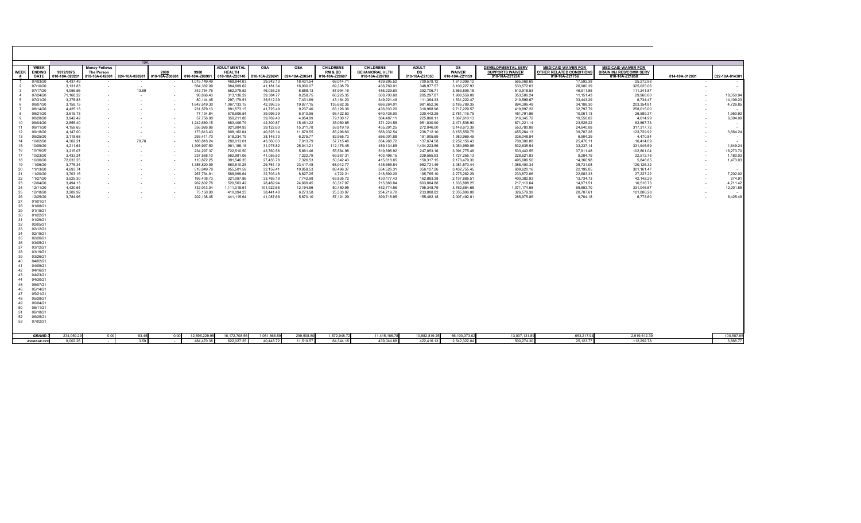| <b>WEEK</b>                                                                                                                                                    | <b>WEEK</b><br><b>ENDING</b>                                                                                                                                                                                                                                                                                                     | 9972/9975              | <b>Money Follows</b><br>The Person | 10A          | 2080                     | 9980                        | <b>ADULT MENTAL</b><br><b>HEALTH</b> | <b>OSA</b>                | <b>OSA</b>             | <b>CHILDRENS</b><br><b>RM &amp; BD</b> | <b>CHILDRENS</b><br><b>BEHAVIORAL HLTH</b> | <b>ADULT</b><br>DS          | DS<br><b>WAIVER</b>          | <b>DEVELOPMENTAL SERV</b><br><b>SUPPORTS WAIVER</b> | <b>MEDICAID WAIVER FOR</b><br>OTHER RELATED CONDITIONS | <b>MEDICAID WAIVER FOR</b><br><b>BRAIN INJ RES/COMM SERV</b> |                |                          |
|----------------------------------------------------------------------------------------------------------------------------------------------------------------|----------------------------------------------------------------------------------------------------------------------------------------------------------------------------------------------------------------------------------------------------------------------------------------------------------------------------------|------------------------|------------------------------------|--------------|--------------------------|-----------------------------|--------------------------------------|---------------------------|------------------------|----------------------------------------|--------------------------------------------|-----------------------------|------------------------------|-----------------------------------------------------|--------------------------------------------------------|--------------------------------------------------------------|----------------|--------------------------|
|                                                                                                                                                                | <b>DATE</b>                                                                                                                                                                                                                                                                                                                      | 10-10A-020201          | 010-10A-042001 024-10A-020201      |              | 010-10A-Z00801           | 010-10A-Z00901              | 010-10A-Z20140                       | 010-10A-Z20241            | 024-10A-Z20241         | 010-10A-Z20607                         | 010-10A-Z20780                             | 010-10A-Z21050              | 010-10A-Z21159               | 010-10A-Z21254                                      | 010-10A-Z21756                                         | 010-10A-Z21858                                               | 014-10A-012901 | 022-10A-014301           |
|                                                                                                                                                                | 07/03/20                                                                                                                                                                                                                                                                                                                         | 4,437.49               |                                    |              |                          | 1,015,149.49                | 468,844.03                           | 39,242.13                 | 18,431.54              | 68,014.71                              | 429,895.52                                 | 700,578.12                  | 1,610,099.12                 | 565,068.69<br>533,572.03                            | 17,592.38<br>26,980.39                                 | 25,272.98<br>325,025.06                                      |                | $\sim$                   |
| $\overline{2}$<br>$\overline{\mathbf{3}}$                                                                                                                      | 07/10/20<br>07/17/20                                                                                                                                                                                                                                                                                                             | 3,131.83<br>4.056.56   | $\sim$                             | . .<br>13.69 | ۰.<br>$\sim$             | 564,382.09<br>342,764.76    | 884,809.62<br>562,075.52             | 41,181.34<br>46,036.25    | 16,000.07<br>8,858.13  | 69,308.79<br>57,994.16                 | 436,769.01<br>486,229.60                   | 348,977.57<br>392,706.71    | 3,106,227.93<br>3,563,806.18 | 513,918.53                                          | 46,911.55                                              | 111,241.87                                                   |                |                          |
| $\overline{4}$                                                                                                                                                 | 07/24/20                                                                                                                                                                                                                                                                                                                         | 71,168.22              |                                    | $\sim$       |                          | 98,866.43                   | 313,136.29                           | 39,384.77                 | 8,258.75               | 66,225.35                              | 508,700.68                                 | 285,297.87                  | 1,908,559.08                 | 353,506.24                                          | 11,151.43                                              | 29,968.60                                                    |                | 18,050.94                |
| 5                                                                                                                                                              | 07/31/20                                                                                                                                                                                                                                                                                                                         | 3,378.83               |                                    | $\sim$       |                          | 80.144.45                   | 297,179.51                           | 35,612.39                 | 7,431.89               | 43,164.23                              | 349,221.49                                 | 111,364.33                  | 1,531,222.47                 | 210,599.67                                          | 33,443.29                                              | 6,734.47                                                     |                | 14,109.23                |
| 6                                                                                                                                                              | 08/07/20                                                                                                                                                                                                                                                                                                                         | 3.159.75               | . .                                |              |                          | 1,642,519.30                | 1,067,133.15                         | 42.396.35                 | 19.877.15              | 135.662.35                             | 686.264.01                                 | 981.652.36                  | 3.185.789.35                 | 894,306.49                                          | 34.188.30                                              | 203,354.81                                                   |                | 4,726.85                 |
| $\overline{7}$                                                                                                                                                 | 08/14/20                                                                                                                                                                                                                                                                                                                         | 4,425.13               |                                    |              |                          | 231,579.13                  | 891,573.15                           | 41,725.49                 | 9,237.40               | 63,126.36                              | 436,833.20                                 | 310,988.96                  | 2,717,229.57                 | 419,897.22                                          | 32,797.79                                              | 258,015.00                                                   |                |                          |
| 8                                                                                                                                                              | 08/21/20                                                                                                                                                                                                                                                                                                                         | 3,615.73               |                                    |              |                          | 77.134.84                   | 578.606.54                           | 39.996.39                 | 6.010.95               | 93.422.53                              | 640.438.00                                 | 320.442.25                  | 2.781.116.79                 | 451,791.96                                          | 10,061.13                                              | 26,589.37                                                    |                | 1,950.92                 |
| -9                                                                                                                                                             | 08/28/20                                                                                                                                                                                                                                                                                                                         | 3,942.42               |                                    |              |                          | 57,756.08                   | 350,211.88                           | 39,769.40                 | 4,954.89               | 79,100.17                              | 364.487.11                                 | 225,860.11                  | 1,667,610.13                 | 316,345.72                                          | 19,556.02                                              | 4,614.99                                                     |                | 6,694.09                 |
| 10                                                                                                                                                             | 09/04/20                                                                                                                                                                                                                                                                                                                         | 2,855.40               |                                    |              |                          | 1,242,680.15                | 683,406.79                           | 42,300.87                 | 15,461.22              | 35,080.65                              | 371,224.58                                 | 951,030.90                  | 2,471,538.90                 | 671,221.14                                          | 23,528.22                                              | 62,867.73                                                    |                | $\sim$                   |
| 11<br>12                                                                                                                                                       | 09/11/20<br>09/18/20                                                                                                                                                                                                                                                                                                             | 4,159.65<br>4,147.00   |                                    | . .          |                          | 356,926.86<br>173,613.43    | 921,984.93<br>608,162.04             | 39,122.60<br>40,828.14    | 15,311.78<br>11,679.55 | 59,819.19<br>85,296.60                 | 435,291.25<br>588,932.54                   | 272,046.00<br>236,712.10    | 3,148,673.39<br>3,155,559.75 | 553,780.88<br>455,264.13                            | 24,640.08<br>39,707.28                                 | 317,317.72<br>123,729.92                                     |                | 3,664.24                 |
| 13                                                                                                                                                             | 09/25/20                                                                                                                                                                                                                                                                                                                         | 3,118.68               |                                    |              |                          | 293,411.70                  | 518,334.79                           | 38,148.73                 | 6,275.77               | 82,955.73                              | 556,001.88                                 | 191,005.69                  | 1,980,969.45                 | 336,048.84                                          | 6,904.39                                               | 4,470.84                                                     |                |                          |
| 14                                                                                                                                                             | 10/02/20                                                                                                                                                                                                                                                                                                                         | 4.362.21               | ٠                                  | 79.76        | $\overline{\phantom{a}}$ | 188.818.24                  | 280.013.01                           | 43.360.03                 | 7.013.79               | 57.715.48                              | 354.968.72                                 | 137.674.58                  | 2.252.156.43                 | 708.306.88                                          | 25.476.11                                              | 16,414.09                                                    |                |                          |
| 15                                                                                                                                                             | 10/09/20                                                                                                                                                                                                                                                                                                                         | 4,211.64               |                                    | $\sim$       |                          | 1,306,997.50                | 961,198.16                           | 31,978.82                 | 25,041.21              | 112,176.45                             | 489,134.85                                 | 1,404,223.56                | 3,054,959.08                 | 532,635.54                                          | 33,237.14                                              | 331,945.69                                                   |                | 1,649.24                 |
| 16                                                                                                                                                             | 10/16/20                                                                                                                                                                                                                                                                                                                         | 3,215.07               |                                    | $\sim$       | $\sim$                   | 234,297.37                  | 722,510.50                           | 43.760.58                 | 5,661.46               | 55,584.98                              | 519.698.92                                 | 247,053.16                  | 3,391,775.46                 | 533,443.55                                          | 37,911.48                                              | 102,801.04                                                   |                | 16,273.70                |
| 17                                                                                                                                                             | 10/23/20                                                                                                                                                                                                                                                                                                                         | 3,433.24               | ٠                                  |              | $\overline{\phantom{a}}$ | 237,568.10                  | 562,981.06                           | 41.055.52                 | 7,222.79               | 69,587.31                              | 403.498.15                                 | 229,585.93                  | 1,727,255.13                 | 228,621.83                                          | 9,284.79                                               | 22,512.78                                                    |                | 1,180.03                 |
| 18                                                                                                                                                             | 10/30/20                                                                                                                                                                                                                                                                                                                         | 72.633.25              |                                    |              |                          | 110.872.25                  | 391.546.35                           | 27.435.78                 | 7.326.53               | 50.342.43                              | 415.818.65                                 | 150.317.15                  | 2.176.479.30                 | 495.686.50                                          | 14.360.98                                              | 5.848.85                                                     |                | 1,473.03                 |
| 19                                                                                                                                                             | 11/06/20                                                                                                                                                                                                                                                                                                                         | 3,775.34               |                                    |              |                          | 1,388,820.09                | 860,610.25                           | 29,761.19                 | 23,417.48              | 68,012.77                              | 435,665.54                                 | 982,721.49                  | 3,081,570.44                 | 1,088,400.34                                        | 35,731.08                                              | 120,126.32                                                   |                | $\sim$                   |
| 20                                                                                                                                                             | 11/13/20                                                                                                                                                                                                                                                                                                                         | 4,693.74               | $\sim$                             |              | $\overline{\phantom{a}}$ | 518,649.78                  | 855,501.59                           | 32,159.41                 | 10,858.53              | 88,496.37                              | 534,526.31                                 | 356,127.26                  | 3,432,755.45                 | 609,620.16                                          | 22,199.05                                              | 301,161.47                                                   |                | $\overline{\phantom{a}}$ |
| 21<br>22                                                                                                                                                       | 11/20/20<br>11/27/20                                                                                                                                                                                                                                                                                                             | 3.703.16<br>3,525.30   |                                    |              |                          | 267,764.91<br>193,408.73    | 588,999.64<br>321,097.86             | 32.703.48<br>33,765.18    | 8,627.25<br>7,742.98   | 4,722.21<br>63,835.72                  | 218,809.29<br>430.177.43                   | 195,765.10<br>162,883.38    | 2,275,262.29<br>2,137,885.51 | 233,872.06<br>400,382.93                            | 22,883.33<br>13,734.73                                 | 27,227.22<br>42,148.29                                       |                | 7,202.02<br>274.91       |
| 23                                                                                                                                                             | 12/04/20                                                                                                                                                                                                                                                                                                                         | 3,494.13               |                                    |              |                          | 962,802.78                  | 520,563.42                           | 28,489.94                 | 24,669.45              | 30,317.97                              | 215,866.84                                 | 603,084.88                  | 1,635,888.25                 | 217,110.64                                          | 14,971.51                                              | 10,516.73                                                    |                | 4,711.42                 |
| 24                                                                                                                                                             | 12/11/20                                                                                                                                                                                                                                                                                                                         | 4.420.64               |                                    |              |                          | 732,013.04                  | 1,111,018.61                         | 101.922.65                | 12.194.56              | 50.460.95                              | 452.774.56                                 | 795.348.79                  | 3,762,684.68                 | 1.071.174.68                                        | 65.553.70                                              | 331.046.67                                                   |                | 12,201.85                |
| 25                                                                                                                                                             | 12/18/20                                                                                                                                                                                                                                                                                                                         | 3,209.92               |                                    |              |                          | 75,150.00                   | 410,094.23                           | 38,441.48                 | 6,273.58               | 25,333.97                              | 254,219.70                                 | 233,888.82                  | 2,335,806.08                 | 326,579.39                                          | 20,707.61                                              | 101,886.28                                                   |                |                          |
| 26                                                                                                                                                             | 12/25/20                                                                                                                                                                                                                                                                                                                         | 3,784.96               |                                    |              |                          | 202,138.45                  | 441,115.64                           | 41,087.68                 | 5,670.10               | 57,191.29                              | 399,718.95                                 | 155,482.18                  | 2,007,492.81                 | 285,975.85                                          | 9,704.18                                               | 6,773.60                                                     |                | 6,425.48                 |
| 27<br>28<br>29<br>30<br>31<br>32<br>33<br>34<br>35<br>36<br>37<br>38<br>39<br>40<br>41<br>42<br>43<br>44<br>45<br>46<br>47<br>48<br>49<br>50<br>51<br>52<br>53 | 01/01/21<br>01/08/21<br>01/15/21<br>01/22/21<br>01/29/21<br>02/05/21<br>02/12/21<br>02/19/21<br>02/26/21<br>03/05/21<br>03/12/21<br>03/19/21<br>03/26/21<br>04/02/21<br>04/09/21<br>04/16/21<br>04/23/21<br>04/30/21<br>05/07/21<br>05/14/21<br>05/21/21<br>05/28/21<br>06/04/21<br>06/11/21<br>06/18/21<br>06/25/21<br>07/02/21 |                        |                                    |              |                          |                             |                                      |                           |                        |                                        |                                            |                             |                              |                                                     |                                                        |                                                              |                |                          |
|                                                                                                                                                                | <b>GRAND-</b><br><b>AVERAGE CYC</b>                                                                                                                                                                                                                                                                                              | 234,059.29<br>9,002.28 | 0.00                               | 93.4<br>3.59 | 0.00<br>$\sim$           | 12,596,229.95<br>484,470.38 | 16, 172, 708.56<br>622,027.25        | 1,051,666.59<br>40,448.72 | 299,508.8<br>11,519.57 | 1,672,948.72<br>64,344.18              | 11,415,166.7<br>439.044.88                 | 10.982.819.25<br>422,416.13 | 66,100,373.0<br>2,542,322.04 | 13,007,131.8<br>500,274.30                          | 653,217.94<br>25,123.77                                | 2,919,612.39<br>112,292.78                                   |                | 100,587.9<br>3,868.77    |